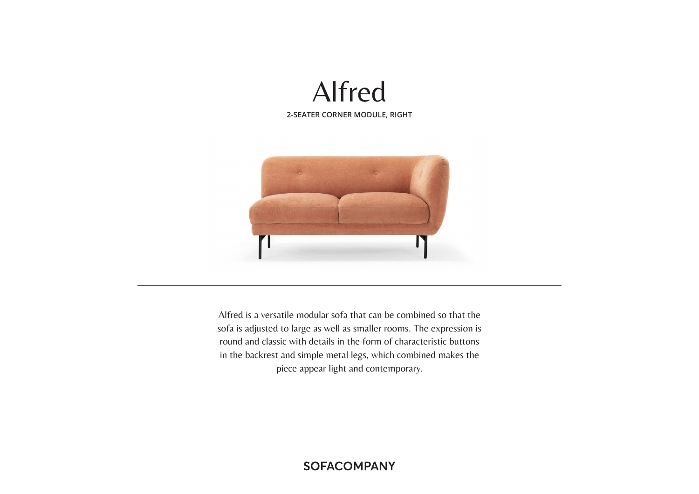



Alfred is a versatile modular sofa that can be combined so that the sofa is adjusted to large as well as smaller rooms. The expression is round and classic with details in the form of characteristic buttons in the backrest and simple metal legs, which combined makes the piece appear light and contemporary.

# **SOFACOMPANY**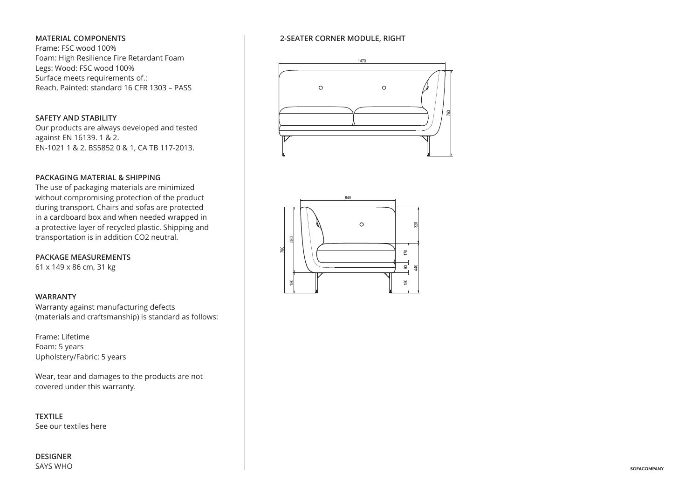# **MATERIAL COMPONENTS**

Frame: FSC wood 100% Foam: High Resilience Fire Retardant Foam Legs: Wood: FSC wood 100% Surface meets requirements of.: Reach, Painted: standard 16 CFR 1303 – PASS

# **SAFETY AND STABILITY**

Our products are always developed and tested against EN 16139. 1 & 2. EN-1021 1 & 2, BS5852 0 & 1, CA TB 117-2013.

# **PACKAGING MATERIAL & SHIPPING**

The use of packaging materials are minimized without compromising protection of the product during transport. Chairs and sofas are protected in a cardboard box and when needed wrapped in a protective layer of recycled plastic. Shipping and transportation is in addition CO2 neutral.

**PACKAGE MEASUREMENTS** 61 x 149 x 86 cm, 31 kg

### **WARRANTY**

Warranty against manufacturing defects (materials and craftsmanship) is standard as follows:

Frame: Lifetime Foam: 5 years Upholstery/Fabric: 5 years

Wear, tear and damages to the products are not covered under this warranty.

**TEXTILE** See our textiles here

**DESIGNER** SAYS WHO

# **2-SEATER CORNER MODULE, RIGHT**





760